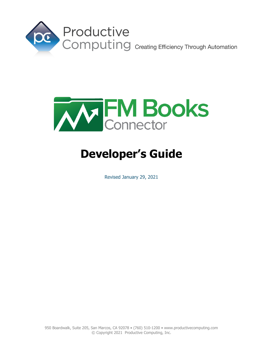



# **Developer's Guide**

Revised January 29, 2021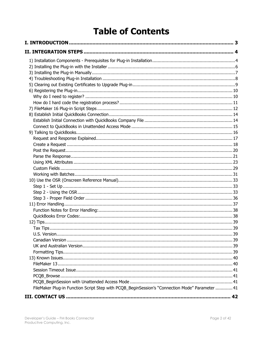## **Table of Contents**

| FileMaker Plug-in Function Script Step with PCQB_BeginSession's "Connection Mode" Parameter  41 |  |
|-------------------------------------------------------------------------------------------------|--|
|                                                                                                 |  |
|                                                                                                 |  |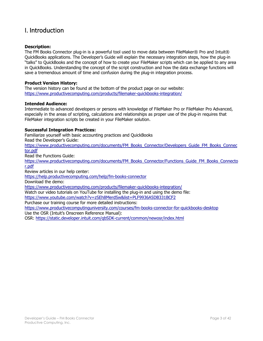## <span id="page-2-0"></span>I. Introduction

#### **Description:**

The FM Books Connector plug-in is a powerful tool used to move data between FileMaker® Pro and Intuit® QuickBooks applications. The Developer's Guide will explain the necessary integration steps, how the plug-in "talks" to QuickBooks and the concept of how to create your FileMaker scripts which can be applied to any area in QuickBooks. Understanding the concept of the script construction and how the data exchange functions will save a tremendous amount of time and confusion during the plug-in integration process.

#### **Product Version History:**

The version history can be found at the bottom of the product page on our website: <https://www.productivecomputing.com/products/filemaker-quickbooks-integration/>

#### **Intended Audience:**

Intermediate to advanced developers or persons with knowledge of FileMaker Pro or FileMaker Pro Advanced, especially in the areas of scripting, calculations and relationships as proper use of the plug-in requires that FileMaker integration scripts be created in your FileMaker solution.

#### **Successful Integration Practices:**

Familiarize yourself with basic accounting practices and QuickBooks Read the Developer's Guide: [https://www.productivecomputing.com/documents/FM\\_Books\\_Connector/Developers\\_Guide\\_FM\\_Books\\_Connec](https://www.productivecomputing.com/documents/FM_Books_Connector/Developers_Guide_FM_Books_Connector.pdf) [tor.pdf](https://www.productivecomputing.com/documents/FM_Books_Connector/Developers_Guide_FM_Books_Connector.pdf)

Read the Functions Guide:

[https://www.productivecomputing.com/documents/FM\\_Books\\_Connector/Functions\\_Guide\\_FM\\_Books\\_Connecto](https://www.productivecomputing.com/documents/FM_Books_Connector/Functions_Guide_FM_Books_Connector.pdf) [r.pdf](https://www.productivecomputing.com/documents/FM_Books_Connector/Functions_Guide_FM_Books_Connector.pdf)

Review articles in our help center:

<https://help.productivecomputing.com/help/fm-books-connector>

Download the demo:

<https://www.productivecomputing.com/products/filemaker-quickbooks-integration/>

Watch our video tutorials on YouTube for installing the plug-in and using the demo file:

<https://www.youtube.com/watch?v=zSEh8MerdSw&list=PLF9936A5DB331BCF2>

Purchase our training course for more detailed instructions:

<https://www.productivecomputinguniversity.com/courses/fm-books-connector-for-quickbooks-desktop>

Use the OSR (Intuit's Onscreen Reference Manual):

OSR:<https://static.developer.intuit.com/qbSDK-current/common/newosr/index.html>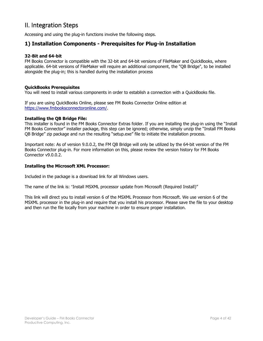## <span id="page-3-0"></span>II. Integration Steps

Accessing and using the plug-in functions involve the following steps.

### <span id="page-3-1"></span>**1) Installation Components - Prerequisites for Plug-in Installation**

#### **32-Bit and 64-bit**

FM Books Connector is compatible with the 32-bit and 64-bit versions of FileMaker and QuickBooks, where applicable. 64-bit versions of FileMaker will require an additional component, the "QB Bridge", to be installed alongside the plug-in; this is handled during the installation process

#### **QuickBooks Prerequisites**

You will need to install various components in order to establish a connection with a QuickBooks file.

If you are using QuickBooks Online, please see FM Books Connector Online edition at [https://www.fmbooksconnectoronline.com/.](https://www.fmbooksconnectoronline.com/)

#### **Installing the QB Bridge File:**

This installer is found in the FM Books Connector Extras folder. If you are installing the plug-in using the "Install FM Books Connector" installer package, this step can be ignored; otherwise, simply unzip the "Install FM Books QB Bridge" zip package and run the resulting "setup.exe" file to initiate the installation process.

Important note: As of version 9.0.0.2, the FM QB Bridge will only be utilized by the 64-bit version of the FM Books Connector plug-in. For more information on this, please review the version history for FM Books Connector v9.0.0.2.

#### **Installing the Microsoft XML Processor:**

Included in the package is a download link for all Windows users.

The name of the link is: "Install MSXML processor update from Microsoft (Required Install)"

This link will direct you to install version 6 of the MSXML Processor from Microsoft. We use version 6 of the MSXML processor in the plug-in and require that you install his processor. Please save the file to your desktop and then run the file locally from your machine in order to ensure proper installation.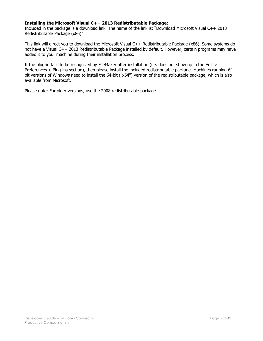#### **Installing the Microsoft Visual C++ 2013 Redistributable Package:**

Included in the package is a download link. The name of the link is: "Download Microsoft Visual C++ 2013 Redistributable Package (x86)"

This link will direct you to download the Microsoft Visual C++ Redistributable Package (x86). Some systems do not have a Visual C++ 2013 Redistributable Package installed by default. However, certain programs may have added it to your machine during their installation process.

If the plug-in fails to be recognized by FileMaker after installation (i.e. does not show up in the Edit > Preferences > Plug-ins section), then please install the included redistributable package. Machines running 64 bit versions of Windows need to install the 64-bit ("x64") version of the redistributable package, which is also available from Microsoft.

Please note: For older versions, use the 2008 redistributable package.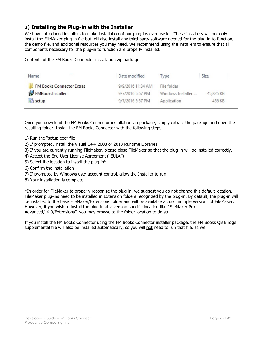## <span id="page-5-0"></span>**2) Installing the Plug-in with the Installer**

We have introduced installers to make installation of our plug-ins even easier. These installers will not only install the FileMaker plug-in file but will also install any third party software needed for the plug-in to function, the demo file, and additional resources you may need. We recommend using the installers to ensure that all components necessary for the plug-in to function are properly installed.

Contents of the FM Books Connector installation zip package:

| Name                             | Date modified     | <b>I</b> vpe      | Size      |
|----------------------------------|-------------------|-------------------|-----------|
| <b>FM Books Connector Extras</b> | 9/9/2016 11:34 AM | File folder       |           |
| FMBooksInstaller                 | 9/7/2016 5:57 PM  | Windows Installer | 45,825 KB |
| Setup                            | 9/7/2016 5:57 PM  | Application       | 456 KB    |

Once you download the FM Books Connector installation zip package, simply extract the package and open the resulting folder. Install the FM Books Connector with the following steps:

- 1) Run the "setup.exe" file
- 2) If prompted, install the Visual C++ 2008 or 2013 Runtime Libraries
- 3) If you are currently running FileMaker, please close FileMaker so that the plug-in will be installed correctly.
- 4) Accept the End User License Agreement ("EULA")
- 5) Select the location to install the plug-in\*
- 6) Confirm the installation
- 7) If prompted by Windows user account control, allow the Installer to run
- 8) Your installation is complete!

\*In order for FileMaker to properly recognize the plug-in, we suggest you do not change this default location. FileMaker plug-ins need to be installed in Extension folders recognized by the plug-in. By default, the plug-in will be installed to the base FileMaker/Extensions folder and will be available across multiple versions of FileMaker. However, if you wish to install the plug-in at a version-specific location like "FileMaker Pro Advanced/14.0/Extensions", you may browse to the folder location to do so.

If you install the FM Books Connector using the FM Books Connector installer package, the FM Books QB Bridge supplemental file will also be installed automatically, so you will not need to run that file, as well.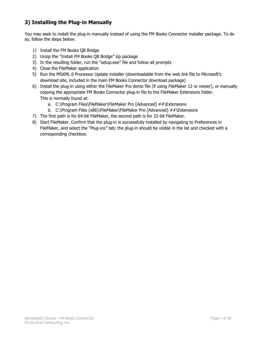## <span id="page-6-0"></span>**3) Installing the Plug-in Manually**

You may seek to install the plug-in manually instead of using the FM Books Connector installer package. To do so, follow the steps below:

- 1) Install the FM Books QB Bridge
- 2) Unzip the "Install FM Books QB Bridge" zip package
- 3) In the resulting folder, run the "setup.exe" file and follow all prompts
- 4) Close the FileMaker application
- 5) Run the MSXML 6 Processor Update installer (downloadable from the web link file to Microsoft's download site, included in the main FM Books Connector download package)
- 6) Install the plug-in using either the FileMaker Pro demo file (if using FileMaker 12 or newer), or manually copying the appropriate FM Books Connector plug-in file to the FileMaker Extensions folder. This is normally found at:
	- a. C:\Program Files\FileMaker\FileMaker Pro [Advanced] ##\Extensions
	- b. C:\Program Files (x86)\FileMaker\FileMaker Pro [Advanced] ##\Extensions
- 7) The first path is for 64-bit FileMaker, the second path is for 32-bit FileMaker.
- 8) Start FileMaker. Confirm that the plug-in is successfully installed by navigating to Preferences in FileMaker, and select the "Plug-ins" tab; the plug-in should be visible in the list and checked with a corresponding checkbox.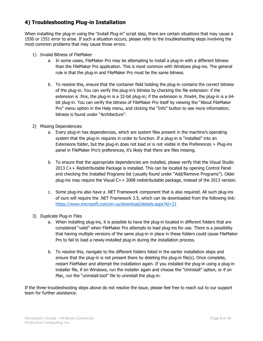## <span id="page-7-0"></span>**4) Troubleshooting Plug-in Installation**

When installing the plug-in using the "Install Plug-in" script step, there are certain situations that may cause a 1550 or 1551 error to arise. If such a situation occurs, please refer to the troubleshooting steps involving the most common problems that may cause those errors.

- 1) Invalid Bitness of FileMaker
	- a. In some cases, FileMaker Pro may be attempting to install a plug-in with a different bitness than the FileMaker Pro application. This is most common with Windows plug-ins. The general rule is that the plug-in and FileMaker Pro must be the same bitness.
	- b. To resolve this, ensure that the container field holding the plug-in contains the correct bitness of the plug-in. You can verify the plug-in's bitness by checking the file extension: if the extension is .fmx, the plug-in is a 32-bit plug-in; if the extension is .fmx64, the plug-in is a 64 bit plug-in. You can verify the bitness of FileMaker Pro itself by viewing the "About FileMaker Pro" menu option in the Help menu, and clicking the "Info" button to see more information; bitness is found under "Architecture".
- 2) Missing Dependencies
	- a. Every plug-in has dependencies, which are system files present in the machine's operating system that the plug-in requires in order to function. If a plug-in is "installed" into an Extensions folder, but the plug-in does not load or is not visible in the Preferences > Plug-ins panel in FileMaker Pro's preferences, it's likely that there are files missing.
	- b. To ensure that the appropriate dependencies are installed, please verify that the Visual Studio 2013 C++ Redistributable Package is installed. This can be located by opening Control Panel and checking the Installed Programs list (usually found under "Add/Remove Programs"). Older plug-ins may require the Visual C++ 2008 redistributable package, instead of the 2013 version.
	- c. Some plug-ins also have a .NET Framework component that is also required. All such plug-ins of ours will require the .NET Framework 3.5, which can be downloaded from the following link: <https://www.microsoft.com/en-us/download/details.aspx?id=21>
- 3) Duplicate Plug-in Files
	- a. When installing plug-ins, it is possible to have the plug-in located in different folders that are considered "valid" when FileMaker Pro attempts to load plug-ins for use. There is a possibility that having multiple versions of the same plug-in in place in these folders could cause FileMaker Pro to fail to load a newly-installed plug-in during the installation process.
	- b. To resolve this, navigate to the different folders listed in the earlier installation steps and ensure that the plug-in is not present there by deleting the plug-in file(s). Once complete, restart FileMaker and attempt the installation again. If you installed the plug-in using a plug-in installer file, if on Windows, run the installer again and choose the "Uninstall" option, or if on Mac, run the "uninstall.tool" file to uninstall the plug-in.

If the three troubleshooting steps above do not resolve the issue, please feel free to reach out to our support team for further assistance.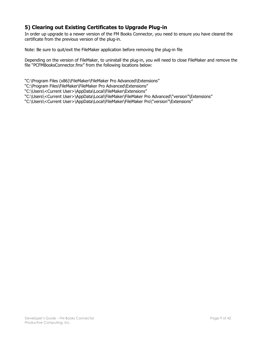## <span id="page-8-0"></span>**5) Clearing out Existing Certificates to Upgrade Plug-in**

In order up upgrade to a newer version of the FM Books Connector, you need to ensure you have cleared the certificate from the previous version of the plug-in.

Note: Be sure to quit/exit the FileMaker application before removing the plug-in file

Depending on the version of FileMaker, to uninstall the plug-in, you will need to close FileMaker and remove the file "PCFMBooksConnector.fmx" from the following locations below:

"C:\Program Files (x86)\FileMaker\FileMaker Pro Advanced\Extensions"

"C:\Program Files\FileMaker\FileMaker Pro Advanced\Extensions"

"C:\Users\<Current User>\AppData\Local\FileMaker\Extensions"

"C:\Users\<Current User>\AppData\Local\FileMaker\FileMaker Pro Advanced\"version"\Extensions"

"C:\Users\<Current User>\AppData\Local\FileMaker\FileMaker Pro\"version"\Extensions"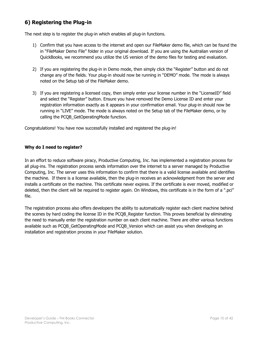## <span id="page-9-0"></span>**6) Registering the Plug-in**

The next step is to register the plug-in which enables all plug-in functions.

- 1) Confirm that you have access to the internet and open our FileMaker demo file, which can be found the in "FileMaker Demo File" folder in your original download. If you are using the Australian version of QuickBooks, we recommend you utilize the US version of the demo files for testing and evaluation.
- 2) If you are registering the plug-in in Demo mode, then simply click the "Register" button and do not change any of the fields. Your plug-in should now be running in "DEMO" mode. The mode is always noted on the Setup tab of the FileMaker demo.
- 3) If you are registering a licensed copy, then simply enter your license number in the "LicenseID" field and select the "Register" button. Ensure you have removed the Demo License ID and enter your registration information exactly as it appears in your confirmation email. Your plug-in should now be running in "LIVE" mode. The mode is always noted on the Setup tab of the FileMaker demo, or by calling the PCQB GetOperatingMode function.

Congratulations! You have now successfully installed and registered the plug-in!

#### <span id="page-9-1"></span>**Why do I need to register?**

In an effort to reduce software piracy, Productive Computing, Inc. has implemented a registration process for all plug-ins. The registration process sends information over the internet to a server managed by Productive Computing, Inc. The server uses this information to confirm that there is a valid license available and identifies the machine. If there is a license available, then the plug-in receives an acknowledgment from the server and installs a certificate on the machine. This certificate never expires. If the certificate is ever moved, modified or deleted, then the client will be required to register again. On Windows, this certificate is in the form of a ".pci" file.

The registration process also offers developers the ability to automatically register each client machine behind the scenes by hard coding the license ID in the PCQB\_Register function. This proves beneficial by eliminating the need to manually enter the registration number on each client machine. There are other various functions available such as PCQB\_GetOperatingMode and PCQB\_Version which can assist you when developing an installation and registration process in your FileMaker solution.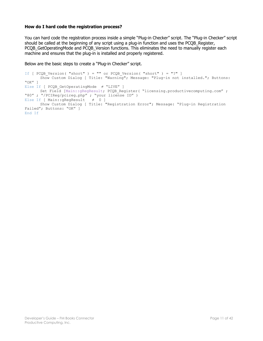#### <span id="page-10-0"></span>**How do I hard code the registration process?**

You can hard code the registration process inside a simple "Plug-in Checker" script. The "Plug-in Checker" script should be called at the beginning of any script using a plug-in function and uses the PCQB Register, PCQB GetOperatingMode and PCQB Version functions. This eliminates the need to manually register each machine and ensures that the plug-in is installed and properly registered.

Below are the basic steps to create a "Plug-in Checker" script.

```
If [ PCQB Version( "short" ) = "" or PCQB Version( "short" ) = "?" ]
     Show Custom Dialog [ Title: "Warning"; Message: "Plug-in not installed."; Buttons: 
"OK" ]
Else If [ PCQB_GetOperatingMode ≠ "LIVE" ]
       Set Field [Main::gRegResult; PCQB_Register( "licensing.productivecomputing.com" ; 
"80" ; "/PCIReg/pcireg.php" ; "your license ID" )
Else If [ Main::gRegResult ≠ 0 ] 
     Show Custom Dialog [ Title: "Registration Error"; Message: "Plug-in Registration 
Failed"; Buttons: "OK" ]
End If
```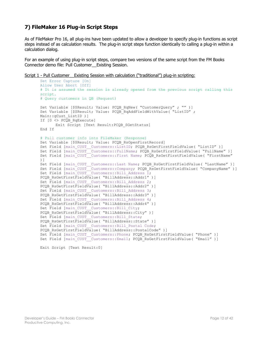## <span id="page-11-0"></span>**7) FileMaker 16 Plug-in Script Steps**

As of FileMaker Pro 16, all plug-ins have been updated to allow a developer to specify plug-in functions as script steps instead of as calculation results. The plug-in script steps function identically to calling a plug-in within a calculation dialog.

For an example of using plug-in script steps, compare two versions of the same script from the FM Books Connector demo file: Pull Customer\_\_Existing Session.

```
Script 1 - Pull Customer Existing Session with calculation ("traditional") plug-in scripting:
```

```
Set Error Capture [On]
Allow User Abort [Off]
# It is assumed the session is already opened from the previous script calling this 
script.
# Query customers in QB (Request)
Set Variable [$$Result; Value: PCQB RqNew( "CustomerQuery" ; "" )]
Set Variable [$$Result; Value: PCQB RqAddFieldWithValue( "ListID" ;
Main::gCust_ListID )]
If [0 <> PCQB_RqExecute]
      Exit Script [Text Result:PCQB_SGetStatus]
End If
# Pull customer info into FileMaker (Response)
Set Variable [$$Result; Value: PCQB RsOpenFirstRecord]
Set Field [main_CUST Customers::ListID; PCQB RsGetFirstFieldValue( "ListID" )]
Set Field [main_CUST__Customers::FullName; PCQB_RsGetFirstFieldValue( "FullName" )]
Set Field [main CUST Customers::First Name; PCQB RsGetFirstFieldValue( "FirstName"
)]
Set Field [main_CUST__Customers::Last Name; PCQB_RsGetFirstFieldValue( "LastName" )]
Set Field [main_CUST__Customers::Company; PCQB_RsGetFirstFieldValue( "CompanyName" )]
Set Field [main_CUST__Customers::Bill Address \overline{1};
PCQB_RsGetFirstFieldValue( "BillAddress::Addr1" )]
Set Field [main CUST Customers::Bill Address 2;
PCOB_RsGetFirstFieldValue( "BillAddress::Addr2" )]
Set Field [main CUST Customers::Bill Address 3;
PCQB_RsGetFirstFieldValue( "BillAddress::Addr3" )]
Set Field [main CUST Customers::Bill Address 4;
PCQB_RsGetFirstFieldValue( "BillAddress::Addr4" )]
Set Field [main CUST Customers::Bill City;
PCQB_RsGetFirstFieldValue( "BillAddress::City" )]
Set Field [main CUST Customers::Bill State;
PCQB_RsGetFirstFieldValue( "BillAddress::State" )]
Set Field [main CUST Customers::Bill Postal Code;
PCQB_RsGetFirstFieldValue( "BillAddress::PostalCode" )]
Set Field [main_CUST__Customers::Phone; PCQB_RsGetFirstFieldValue( "Phone" )] 
Set Field [main_CUST__Customers::Email; PCQB_RsGetFirstFieldValue( "Email" )]
```

```
Exit Script [Text Result:0]
```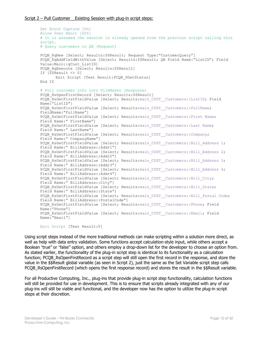```
Set Error Capture [On]
Allow User Abort [Off]
# It is assumed the session is already opened from the previous script calling this 
script.
# Query customers in QB (Request)
PCQB RqNew [Select; Results: $$Result; Request Type: "CustomerQuery"]
PCQB_RqAddFieldWithValue [Select; Results:$$Result; QB Field Name:"ListID"; Field 
Value:Main::gCust_ListID]
PCQB RqExecute [Select; Results:$$Result]
If [$$Result <> 0]
      Exit Script [Text Result:PCQB_SGetStatus]
End If
# Pull customer info into FileMaker (Response)
PCQB RsOpenFirstRecord [Select; Results:$$Result]
PCQB_RsGetFirstFieldValue [Select; Results:main_CUST__Customers::ListID; Field 
Name:"ListID"] 
PCQB_RsGetFirstFieldValue [Select; Results:main_CUST__Customers::FullName;
FieldName:"FullName"]
PCQB_RsGetFirstFieldValue [Select; Results:main_CUST__Customers::First Name;
Field Name:" FirstName"]
PCQB RsGetFirstFieldValue [Select; Results:main CUST__Customers::Last Name;
Field Name:" LastName"]
PCQB_RsGetFirstFieldValue [Select; Results:main_CUST__Customers::Company;
Field Name:" CompanyName"]
PCQB_RsGetFirstFieldValue [Select; Results:main_CUST__Customers::Bill_Address 1;
Field Name:" BillAddress::Addr1"]
PCQB RsGetFirstFieldValue [Select; Results:main CUST_Customers::Bill Address 2;
Field Name:" BillAddress::Addr2"]
PCQB RsGetFirstFieldValue [Select; Results:main CUST_Customers::Bill Address 3;
Field Name:" BillAddress::Addr3"]
PCOB RsGetFirstFieldValue [Select; Results:main CUST__Customers::Bill_Address 4;
Field Name:" BillAddress::Addr4"]
PCQB_RsGetFirstFieldValue [Select; Results:main_CUST__Customers::Bill_City;
Field Name:" BillAddress::City"]
PCQB RsGetFirstFieldValue [Select; Results:main_CUST__Customers::Bill_State;
Field Name:" BillAddress::State"]
PCQB RsGetFirstFieldValue [Select; Results:main CUST_Customers::Bill Postal Code;
Field Name:" BillAddress::PostalCode"]
PCQB RsGetFirstFieldValue [Select; Results:main CUST__Customers::Phone; Field
Name:"Phone"]
PCQB RsGetFirstFieldValue [Select; Results:main CUST__Customers::Email; Field
Name:"Email"]
```

```
Exit Script [Text Result:0]
```
Using script steps instead of the more traditional methods can make scripting within a solution more direct, as well as help with data entry validation. Some functions accept calculation-style input, while others accept a Boolean "true" or "false" option, and others employ a drop-down list for the developer to choose an option from. As stated earlier, the functionality of the plug-in script step is identical to its functionality as a calculation function; PCQB\_RsOpenFirstRecord as a script step will still open the first record in the response, and store the value in the \$\$Result global variable (as seen in Script 2), just the same as the Set Variable script step calls PCQB RsOpenFirstRecord (which opens the first response record) and stores the result in the \$\$Result variable.

For all Productive Computing, Inc., plug-ins that provide plug-in script step functionality, calculation functions will still be provided for use in development. This is to ensure that scripts already integrated with any of our plug-ins will still be viable and functional, and the developer now has the option to utilize the plug-in script steps at their discretion.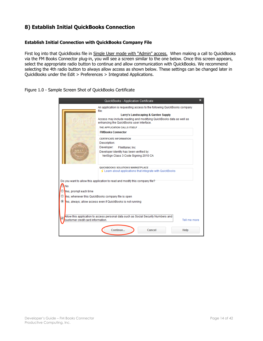## <span id="page-13-0"></span>**8) Establish Initial QuickBooks Connection**

#### <span id="page-13-1"></span>**Establish Initial Connection with QuickBooks Company File**

First log into that QuickBooks file in Single User mode with "Admin" access. When making a call to QuickBooks via the FM Books Connector plug-in, you will see a screen similar to the one below. Once this screen appears, select the appropriate radio button to continue and allow communication with QuickBooks. We recommend selecting the 4th radio button to always allow access as shown below. These settings can be changed later in QuickBooks under the Edit > Preferences > Integrated Applications.

#### Figure 1.0 - Sample Screen Shot of QuickBooks Certificate

|                                   | QuickBooks - Application Certificate                                                                                                                                                                                                                                                                                                                                                      | × |
|-----------------------------------|-------------------------------------------------------------------------------------------------------------------------------------------------------------------------------------------------------------------------------------------------------------------------------------------------------------------------------------------------------------------------------------------|---|
|                                   | An application is requesting access to the following QuickBooks company<br>file:<br>Larry's Landscaping & Garden Supply<br>Access may include reading and modifying QuickBooks data as well as<br>enhancing the QuickBooks user interface.<br>THE APPLICATION CALLS ITSELF<br><b>EMBooks Connector</b><br><b>CERTIFICATE INFORMATION</b><br>Description:<br>Developer:<br>FileMaker, Inc. |   |
|                                   | Developer identity has been verified by:<br>VeriSign Class 3 Code Signing 2010 CA<br>QUICKBOOKS SOLUTIONS MARKETPLACE<br>≤ Learn about applications that integrate with QuickBooks                                                                                                                                                                                                        |   |
| No<br>Yes, prompt each time       | Do you want to allow this application to read and modify this company file?<br>es, whenever this QuickBooks company file is open<br>es, always; allow access even if QuickBooks is not running                                                                                                                                                                                            |   |
| customer credit card information. | Allow this application to access personal data such as Social Security Numbers and<br>Tell me more<br>Continue<br>Cancel<br>Help                                                                                                                                                                                                                                                          |   |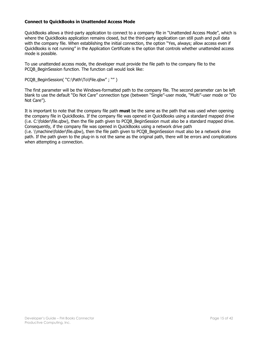#### <span id="page-14-0"></span>**Connect to QuickBooks in Unattended Access Mode**

QuickBooks allows a third-party application to connect to a company file in "Unattended Access Mode", which is where the QuickBooks application remains closed, but the third-party application can still push and pull data with the company file. When establishing the initial connection, the option "Yes, always; allow access even if QuickBooks is not running" in the Application Certificate is the option that controls whether unattended access mode is possible.

To use unattended access mode, the developer must provide the file path to the company file to the PCQB BeginSession function. The function call would look like:

PCQB\_BeginSession( "C:\Path\To\File.qbw" ; "" )

The first parameter will be the Windows-formatted path to the company file. The second parameter can be left blank to use the default "Do Not Care" connection type (between "Single"-user mode, "Multi"-user mode or "Do Not Care").

It is important to note that the company file path **must** be the same as the path that was used when opening the company file in QuickBooks. If the company file was opened in QuickBooks using a standard mapped drive (i.e. C:\folder\file.qbw), then the file path given to PCQB\_BeginSession must also be a standard mapped drive. Consequently, if the company file was opened in QuickBooks using a network drive path (i.e. \\machine\folder\file.qbw), then the file path given to PCQB\_BeginSession must also be a network drive path. If the path given to the plug-in is not the same as the original path, there will be errors and complications when attempting a connection.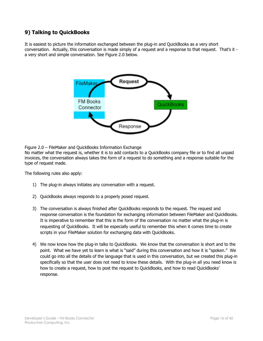## <span id="page-15-0"></span>**9) Talking to QuickBooks**

It is easiest to picture the information exchanged between the plug-in and QuickBooks as a very short conversation. Actually, this conversation is made simply of a request and a response to that request. That's it a very short and simple conversation. See Figure 2.0 below.



Figure 2.0 – FileMaker and QuickBooks Information Exchange

No matter what the request is, whether it is to add contacts to a QuickBooks company file or to find all unpaid invoices, the conversation always takes the form of a request to do something and a response suitable for the type of request made.

The following rules also apply:

- 1) The plug-in always initiates any conversation with a request.
- 2) QuickBooks always responds to a properly posed request.
- 3) The conversation is always finished after QuickBooks responds to the request. The request and response conversation is the foundation for exchanging information between FileMaker and QuickBooks. It is imperative to remember that this is the form of the conversation no matter what the plug-in is requesting of QuickBooks. It will be especially useful to remember this when it comes time to create scripts in your FileMaker solution for exchanging data with QuickBooks.
- 4) We now know how the plug-in talks to QuickBooks. We know that the conversation is short and to the point. What we have yet to learn is what is "said" during this conversation and how it is "spoken." We could go into all the details of the language that is used in this conversation, but we created this plug-in specifically so that the user does not need to know these details. With the plug-in all you need know is how to create a request, how to post the request to QuickBooks, and how to read QuickBooks' response.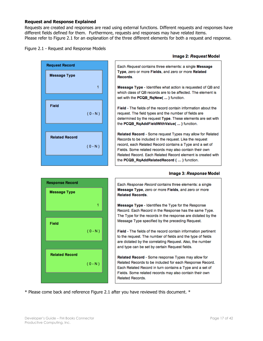#### <span id="page-16-0"></span>**Request and Response Explained**

Requests are created and responses are read using external functions. Different requests and responses have different fields defined for them. Furthermore, requests and responses may have related items. Please refer to Figure 2.1 for an explanation of the three different elements for both a request and response.

#### Figure 2.1 - Request and Response Models



#### Image 2: Request Model

Each Request contains three elements: a single Message Type, zero or more Fields, and zero or more Related Records.

Message Type - Identifies what action is requested of QB and which class of QB records are to be affected. The element is set with the PCQB RaNew( ... ) function.

Field - The fields of the record contain information about the request. The field types and the number of fields are determined by the request Type. These elements are set with the PCQB\_RqAddFieldWithValue( ... ) function.

Related Record - Some request Types may allow for Related Records to be included in the request. Like the request record, each Related Record contains a Type and a set of Fields. Some related records may also contain their own Related Record. Each Related Record element is created with the PCQB RgAddRelatedRecord (...) function.

#### Image 3: Response Model



Each Response Record contains three elements: a single Message Type, zero or more Fields, and zero or more **Related Records.** 

Message Type - Identifies the Type for the Response Record. Each Record in the Response has the same Type. The Type for the records in the response are dictated by the Message Type specified by the preceding Request.

Field - The fields of the record contain information pertinent to the request. The number of fields and the type of fields are dictated by the correlating Request. Also, the number and type can be set by certain Request fields.

Related Record - Some response Types may allow for Related Records to be included for each Response Record. Each Related Record in turn contains a Type and a set of Fields. Some related records may also contain their own **Related Records.** 

\* Please come back and reference Figure 2.1 after you have reviewed this document. \*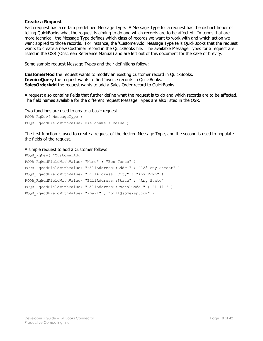#### <span id="page-17-0"></span>**Create a Request**

Each request has a certain predefined Message Type. A Message Type for a request has the distinct honor of telling QuickBooks what the request is aiming to do and which records are to be affected. In terms that are more technical, the Message Type defines which class of records we want to work with and which action we want applied to those records. For instance, the 'CustomerAdd' Message Type tells QuickBooks that the request wants to create a new Customer record in the QuickBooks file. The available Message Types for a request are listed in the OSR (Onscreen Reference Manual) and are left out of this document for the sake of brevity.

Some sample request Message Types and their definitions follow:

**CustomerMod** the request wants to modify an existing Customer record in QuickBooks. **InvoiceQuery** the request wants to find Invoice records in QuickBooks. **SalesOrderAdd** the request wants to add a Sales Order record to QuickBooks.

A request also contains fields that further define what the request is to do and which records are to be affected. The field names available for the different request Message Types are also listed in the OSR.

Two functions are used to create a basic request:

```
PCQB RqNew( MessageType )
PCOB RqAddFieldWithValue( Fieldname ; Value )
```
The first function is used to create a request of the desired Message Type, and the second is used to populate the fields of the request.

#### A simple request to add a Customer follows:

```
PCQB RqNew( "CustomerAdd" )
PCQB RqAddFieldWithValue( "Name" ; "Bob Jones" )
PCQB RqAddFieldWithValue( "BillAddress::Addr1" ; "123 Any Street" )
PCQB_RqAddFieldWithValue( "BillAddress::City" ; "Any Town" )
PCQB RqAddFieldWithValue( "BillAddress::State" ; "Any State" )
PCQB RqAddFieldWithValue( "BillAddress::PostalCode " ; "11111" )
PCOB RqAddFieldWithValue( "Email" ; "bill@someisp.com" )
```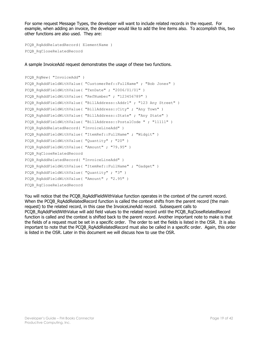For some request Message Types, the developer will want to include related records in the request. For example, when adding an invoice, the developer would like to add the line items also. To accomplish this, two other functions are also used. They are:

```
PCQB_RqAddRelatedRecord( ElementName )
PCQB_RqCloseRelatedRecord
```
A sample InvoiceAdd request demonstrates the usage of these two functions.

```
PCQB_RqNew( "InvoiceAdd" ) 
PCQB_RqAddFieldWithValue( "CustomerRef::FullName" ; "Bob Jones" )
PCQB RqAddFieldWithValue( "TxnDate" ; "2006/01/01" )
PCOB RqAddFieldWithValue( "RefNumber" ; "123456789" )
PCQB RqAddFieldWithValue( "BillAddress::Addr1" ; "123 Any Street" )
PCQB RqAddFieldWithValue( "BillAddress::City" ; "Any Town" )
PCOB RqAddFieldWithValue( "BillAddress::State" ; "Any State" )
PCQB_RqAddFieldWithValue( "BillAddress::PostalCode " ; "11111" )
PCQB RqAddRelatedRecord( "InvoiceLineAdd" )
PCQB RqAddFieldWithValue( "ItemRef::FullName" ; "Widgit" )
PCQB RqAddFieldWithValue( "Quantity" ; "20" )
PCQB RqAddFieldWithValue( "Amount" ; "79.95" )
PCQB_RqCloseRelatedRecord
PCQB_RqAddRelatedRecord( "InvoiceLineAdd" )
PCQB RqAddFieldWithValue( "ItemRef::FullName" ; "Gadget" )
PCQB RqAddFieldWithValue( "Quantity" ; "3" )
PCQB RqAddFieldWithValue( "Amount" ; "2.95" )
PCQB_RqCloseRelatedRecord
```
You will notice that the PCOB RqAddFieldWithValue function operates in the context of the current record. When the PCQB\_RqAddRelatedRecord function is called the context shifts from the parent record (the main request) to the related record, in this case the InvoiceLineAdd record. Subsequent calls to PCQB\_RqAddFieldWithValue will add field values to the related record until the PCQB\_RqCloseRelatedRecord function is called and the context is shifted back to the parent record. Another important note to make is that the fields of a request must be set in a specific order. The order to set the fields is listed in the OSR. It is also important to note that the PCQB RqAddRelatedRecord must also be called in a specific order. Again, this order is listed in the OSR. Later in this document we will discuss how to use the OSR.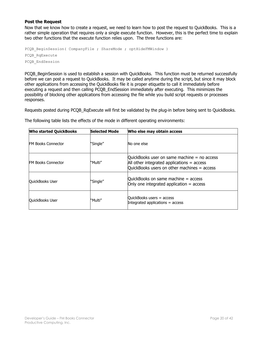#### <span id="page-19-0"></span>**Post the Request**

Now that we know how to create a request, we need to learn how to post the request to QuickBooks. This is a rather simple operation that requires only a single execute function. However, this is the perfect time to explain two other functions that the execute function relies upon. The three functions are:

```
PCQB BeginSession( CompanyFile ; ShareMode ; optHideFMWindow )
PCQB_RqExecute
PCQB_EndSession
```
PCOB BeginSession is used to establish a session with QuickBooks. This function must be returned successfully before we can post a request to QuickBooks. It may be called anytime during the script, but since it may block other applications from accessing the QuickBooks file it is proper etiquette to call it immediately before executing a request and then calling PCQB\_EndSession immediately after executing. This minimizes the possibility of blocking other applications from accessing the file while you build script requests or processes responses.

Requests posted during PCQB\_RqExecute will first be validated by the plug-in before being sent to QuickBooks.

The following table lists the effects of the mode in different operating environments:

| <b>Who started QuickBooks</b> | Selected Mode | Who else may obtain access                                                                                                                     |
|-------------------------------|---------------|------------------------------------------------------------------------------------------------------------------------------------------------|
| <b>FM Books Connector</b>     | 'Single"      | No one else                                                                                                                                    |
| <b>FM Books Connector</b>     | "Multi"       | QuickBooks user on same machine $=$ no access<br>All other integrated applications $=$ access<br>QuickBooks users on other machines $=$ access |
| QuickBooks User               | 'Single"      | QuickBooks on same machine $=$ access<br>Only one integrated application $=$ access                                                            |
| <b>OuickBooks User</b>        | "Multi"       | QuickBooks users = access<br>Integrated applications = access                                                                                  |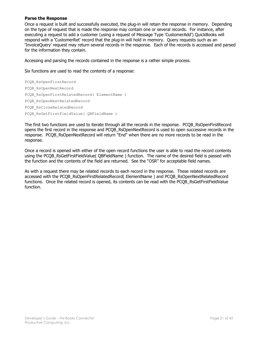#### <span id="page-20-0"></span>**Parse the Response**

Once a request is built and successfully executed, the plug-in will retain the response in memory. Depending on the type of request that is made the response may contain one or several records. For instance, after executing a request to add a customer (using a request of Message Type 'CustomerAdd') QuickBooks will respond with a 'CustomerRet' record that the plug-in will hold in memory. Query requests such as an 'InvoiceQuery' request may return several records in the response. Each of the records is accessed and parsed for the information they contain.

Accessing and parsing the records contained in the response is a rather simple process.

Six functions are used to read the contents of a response:

PCQB\_RsOpenFirstRecord PCQB\_RsOpenNextRecord PCQB RsOpenFirstRelatedRecord( ElementName ) PCQB\_RsOpenNextRelatedRecord PCQB\_RsCloseRelatedRecord PCQB RsGetFirstFieldValue( QBFieldName )

The first two functions are used to iterate through all the records in the response. PCQB\_RsOpenFirstRecord opens the first record in the response and PCQB\_RsOpenNextRecord is used to open successive records in the response. PCQB\_RsOpenNextRecord will return "End" when there are no more records to be read in the response.

Once a record is opened with either of the open record functions the user is able to read the record contents using the PCOB\_RsGetFirstFieldValue( OBFieldName ) function. The name of the desired field is passed with the function and the contents of the field are returned. See the "OSR" for acceptable field names.

As with a request there may be related records to each record in the response. These related records are accessed with the PCQB\_RsOpenFirstRelatedRecord( ElementName ) and PCQB\_RsOpenNextRelatedRecord functions. Once the related record is opened, its contents can be read with the PCQB RsGetFirstFieldValue function.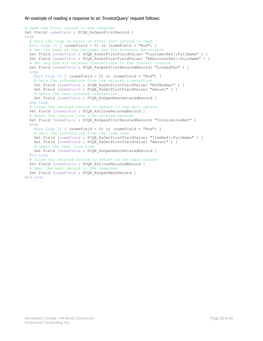An example of reading a response to an 'InvoiceQuery' request follows:

```
# Open the First record in the response
Set Field[ someField ; PCQB RsOpenFirstRecord ]
Loop
  # Exit the loop on error or after last record is read
 Exit Loop If [ (someField < 0) or (someField = "End") ]
  # Get the name of the Customer and the Accounts Receivable 
 Set Field [someField ; PCQB RsGetFirstFieldValue( "CustomerRef::FullName" ) ]
 Set Field [someField ; PCQB RsGetFirstFieldValue( "ARAccountRef::FullName" ) ]
   # Get any and all related transactions to the current invoice
 Set Field [someField ; PCQB RsOpenFirstRelatedRecord( "LinkedTxn" ) ]
  Loop
   Exit Loop If [ (someField < 0) or (someField = "End") ]
     # Gets the information from the related transaction
   Set Field [someField ; PCQB RsGetFirstFieldValue( "RefNumber" ) ]
   Set Field [someField ; PCQB RsGetFirstFieldValue( "Amount" ) ]
    # Opens the next related transaction
   Set Field [someField ; PCQB RsOpenNextRelatedRecord ]
  End Loop
   # Close the related record to return to the main record
 Set Field [someField ; PCQB RsCloseRelatedRecord ]
  # Opens the invoice line item related records
 Set Field [someField ; PCQB RsOpenFirstRelatedRecord( "InvoiceLineRet" )
  Loop
   Exit Loop If [ (someField < 0) or (someField = "End") ]
    # Gets the information from the line item
   Set Field [someField ; PCQB RsGetFirstFieldValue( "ItemRef::FullName" ) ]
   Set Field [someField ; PCQB RsGetFirstFieldValue( "Amount" ) ]
    # Opens the next line item
   Set Field [someField ; PCQB RsOpenNextRelatedRecord ]
  End Loop
   # Close the related record to return to the main record
 Set Field [someField ; PCQB RsCloseRelatedRecord ]
  # Open the next record in the response 
 Set Field [someField ; PCQB RsOpenNextRecord ]
End Loop
```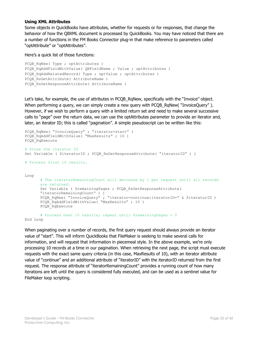#### <span id="page-22-0"></span>**Using XML Attributes**

Some objects in QuickBooks have attributes, whether for requests or for responses, that change the behavior of how the QBXML document is processed by QuickBooks. You may have noticed that there are a number of functions in the FM Books Connector plug-in that make reference to parameters called "optAttribute" or "optAttributes".

Here's a quick list of those functions:

```
PCQB RqNew( Type ; optAttributes )
PCQB RqAddFieldWithValue( QBFieldName ; Value ; optAttributes )
PCQB RqAddRelatedRecord( Type ; optValue ; optAttributes )
PCQB RsGetAttribute( AttributeName )
PCQB RsGetResponseAttribute( AttributeName )
```
Let's take, for example, the use of attributes in PCQB\_RqNew, specifically with the "Invoice" object. When performing a query, we can simply create a new query with PCQB RgNew( "InvoiceQuery" ). However, if we wish to perform a query with a limited return set and need to make several successive calls to "page" over the return data, we can use the optAttributes parameter to provide an iterator and, later, an iterator ID; this is called "pagination". A simple pseudoscript can be written like this:

```
PCQB RqNew( "InvoiceQuery" ; "iterator=start" )
PCQB_RqAddFieldWithValue( "MaxResults" ; 10 )
PCQB_RqExecute 
# Store the iterator ID
Set Variable ( $iteratorID ; PCQB RsGetResponseAttribute( "iteratorID" ) )
# Process first 10 results…
Loop
      # The iteratorRemainingCount will decrease by 1 per request until all records 
      are returned.
      Set Variable ( $remainingPages ; PCOB RsGetResponseAttribute(
      "iteratorRemainingCount" ) )
      PCOB RqNew( "InvoiceOuery" ; "iterator=continue;iteratorID=" & $iteratorID )
      PCQB_RqAddFieldWithValue( "MaxResults" ; 10 )
      PCQB_RqExecute
      # Process next 10 results; repeat until $remainingPages = 0
```
End Loop

When paginating over a number of records, the first query request should always provide an iterator value of "start". This will inform QuickBooks that FileMaker is seeking to make several calls for information, and will request that information in piecemeal style. In the above example, we're only processing 10 records at a time in our pagination. When retrieving the next page, the script must execute requests with the exact same query criteria (in this case, MaxResults of 10), with an iterator attribute value of "continue" and an additional attribute of "iteratorID" with the iteratorID returned from the first request. The response attribute of "iteratorRemainingCount" provides a running count of how many iterations are left until the query is considered fully executed, and can be used as a sentinel value for FileMaker loop scripting.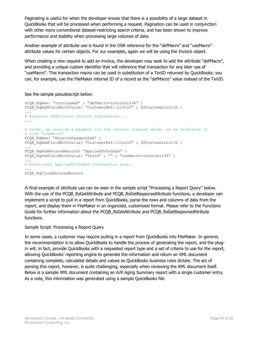Paginating is useful for when the developer knows that there is a possibility of a large dataset in QuickBooks that will be processed when performing a request. Pagination can be used in conjunction with other more conventional dataset-restricting search criteria, and has been shown to improve performance and stability when processing large volumes of data.

Another example of attribute use is found in the OSR reference for the "defMacro" and "useMacro" attribute values for certain objects. For our examples, again we will be using the Invoice object.

When creating a new request to add an invoice, the developer may seek to add the attribute "defMacro", and providing a unique custom identifier that will reference that transaction for any later use of "useMacro". This transaction macro can be used in substitution of a TxnID returned by QuickBooks; you can, for example, use the FileMaker internal ID of a record as the "defMacro" value instead of the TxnID.

#### See the sample pseudoscript below:

```
PCQB RqNew( "InvoiceAdd" ; "defMacro=Invoice1234" )
PCQB_RqAddFieldWithValue( "CustomerRef::ListID" ; $$CustomerListID )
...
# Populate additional Invoice information...
...
# Later, we receive a payment for the invoice created above, so we reference it
# with "useMacro"
PCQB_RqNew( "ReceivePaymentAdd" )
PCQB_RqAddFieldWithValue( "CustomerRef::ListID" ; $$CustomerListID )
...
PCQB_RqAddRelatedRecord( "AppliedToTxnAdd" )
PCQB_RqAddFieldWithValue( "TxnID" ; "" ; "useMacro=Invoice1234" )
...
# Additional AppliedToTxnAdd information here..
...
```
PCQB\_RqCloseRelatedRecord

A final example of attribute use can be seen in the sample script "Processing a Report Query" below. With the use of the PCOB\_RsGetAttribute and PCOB\_RsGetResponseAttribute functions, a developer can implement a script to pull in a report from QuickBooks, parse the rows and columns of data from the report, and display them in FileMaker in an organized, customized format. Please refer to the Functions Guide for further information about the PCQB\_RsGetAttribute and PCQB\_RsGetResponseAttribute functions.

#### Sample Script: Processing a Report Query

In some cases, a customer may require pulling in a report from QuickBooks into FileMaker. In general, the recommendation is to allow QuickBooks to handle the process of generating the report, and the plugin will, in fact, provide QuickBooks with a requested report type and a set of criteria to use for the report, allowing QuickBooks' reporting engine to generate the information and return an XML document containing complete, calculated details and values as QuickBooks business rules dictate. The act of parsing this report, however, is quite challenging, especially when reviewing the XML document itself. Below is a sample XML document containing an A/R Aging Summary report with a single customer entry. As a note, this information was generated using a sample QuickBooks file: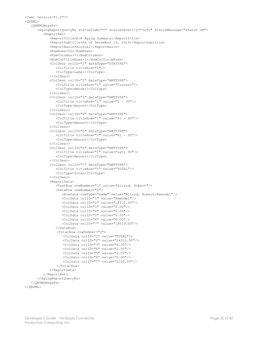```
<?xml version="1.0"?>
<QBXML>
    <QBXMLMsgsRs>
       <AgingReportQueryRs statusCode="0" statusSeverity="Info" statusMessage="Status OK">
          <ReportRet>
             <ReportTitle>A/R Aging Summary</ReportTitle>
             <ReportSubtitle>As of December 15, 2019</ReportSubtitle>
             <ReportBasis>Accrual</ReportBasis>
             <NumRows>52</NumRows>
             <NumColumns>7</NumColumns>
             <NumColTitleRows>1</NumColTitleRows>
             <ColDesc colID="1" dataType="STRTYPE">
                <ColTitle titleRow="1"/>
                <ColType>Label</ColType>
             </ColDesc>
             <ColDesc colID="2" dataType="AMTTYPE">
                <ColTitle titleRow="1" value="Current"/>
                <ColType>Amount</ColType>
             </ColDesc>
             <ColDesc colID="3" dataType="AMTTYPE">
                <ColTitle titleRow="1" value="1 - 30"/>
                <ColType>Amount</ColType>
             </ColDesc>
             <ColDesc colID="4" dataType="AMTTYPE">
                <ColTitle titleRow="1" value="31 - 60"/>
                <ColType>Amount</ColType>
             </ColDesc>
             <ColDesc colID="5" dataType="AMTTYPE">
                <ColTitle titleRow="1" value="61 - 90"/>
                <ColType>Amount</ColType>
             </ColDesc>
             <ColDesc colID="6" dataType="AMTTYPE">
               <ColTitle titleRow="1" value="&gt; 90"/>
                <ColType>Amount</ColType>
             </ColDesc>
             <ColDesc colID="7" dataType="AMTTYPE">
                <ColTitle titleRow="1" value="TOTAL"/>
                <ColType>Total</ColType>
             </ColDesc>
             <ReportData>
                <TextRow rowNumber="1" value="Allard, Robert"/>
                <DataRow rowNumber="2">
                   <RowData rowType="name" value="Allard, Robert:Remodel"/>
                  <ColData colID="1" value="Remodel"/>
                   <ColData colID="2" value="14510.00"/>
                  <ColData colID="3" value="0.00"/>
                  <ColData colID="4" value="0.00"/>
                  <ColData colID="5" value="0.00"/>
                  <ColData colID="6" value="0.00"/>
                  <ColData colID="7" value="14510.00"/>
                </DataRow> 
                 <TotalRow rowNumber="3">
                    <ColData colID="1" value="TOTAL"/>
                    <ColData colID="2" value="14510.00"/>
                    <ColData colID="3" value="0.00"/>
                    <ColData colID="4" value="0.00"/>
                    <ColData colID="5" value="0.00"/>
                    <ColData colID="6" value="0.00"/>
                    <ColData colID="7" value="5100.00"/>
                 </TotalRow>
             </ReportData>
          </ReportRet>
       </AgingReportQueryRs>
    </QBXMLMsgsRs>
</QBXML>
```

```
Developer's Guide – FM Books Connector Page 25 of 42
Productive Computing, Inc.
```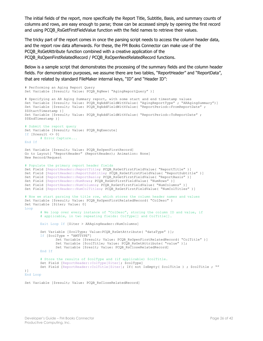The initial fields of the report, more specifically the Report Title, Subtitle, Basis, and summary counts of columns and rows, are easy enough to parse; those can be accessed simply by opening the first record and using PCOB\_RsGetFirstFieldValue function with the field names to retrieve their values.

The tricky part of the report comes in once the parsing script needs to access the column header data, and the report row data afterwards. For these, the FM Books Connector can make use of the PCQB\_RsGetAttribute function combined with a creative application of the PCQB\_RsOpenFirstRelatedRecord / PCQB\_RsOpenNextRelatedRecord functions.

Below is a sample script that demonstrates the processing of the summary fields and the column header fields. For demonstration purposes, we assume there are two tables, "ReportHeader" and "ReportData", that are related by standard FileMaker internal keys, "ID" and "Header ID":

```
# Performing an Aging Report Query
Set Variable [$result; Value: PCQB RqNew( "AgingReportQuery" )]
# Specifying an AR Aging Summary report, with some start and end timestamp values
Set Variable [$result; Value: PCQB_RqAddFieldWithValue( "AgingReportType" ; "ARAgingSummary")]
Set Variable [$result; Value: PCQB_RqAddFieldWithValue( "ReportPeriod::FromReportDate" ;
$$StartTimestamp )]
Set Variable [$result; Value: PCQB RqAddFieldWithValue( "ReportPeriod::ToReportDate" ;
$$EndTimestamp )]
# Submit the report query
Set Variable [$result; Value: PCQB RqExecute]
If [$result <> 0]
       # Error Capture...
End If
Set Variable [$result; Value: PCQB RsOpenFirstRecord]
Go to Layout[ "ReportHeader" (ReportHeader); Animation: None]
New Record/Request
# Populate the primary report header fields
Set Field [ReportHeader::ReportTitle; PCQB RsGetFirstFieldValue( "ReportTitle" )]
Set Field [ReportHeader::ReportSubtitle; PCQB RsGetFirstFieldValue( "ReportSubtitle" )]
Set Field [ReportHeader::ReportBasis; PCQB RsGetFirstFieldValue( "ReportBasis" )]
Set Field [ReportHeader::NumRows; PCOB_RsGetFirstFieldValue( "NumRows" )]
Set Field [ReportHeader::NumColumns; PCQB_RsGetFirstFieldValue( "NumColumns" )]
Set Field [ReportHeader::NumColTitles; PCQB RsGetFirstFieldValue( "NumColTitles" )]
# Now we start parsing the title row, which stores the column header names and values
Set Variable [$result; Value: PCQB RsOpenFirstRelatedRecord( "ColDesc" )
Set Variable [$iter; Value: 0]
Loop
       # We loop over every instance of "ColDesc", storing the column ID and value, if
       # applicable, in two repeating fields: ColType[] and ColTitle[].
       Exit Loop If [$iter > ARAgingHeader::NumColumns]
       Set Variable [$colType; Value: PCQB_RsGetAttribute( "dataType" )];
       If [$colType = "AMTTYPE"]
               Set Variable [$result; Value: PCQB RsOpenFirstRelatedRecord( "ColTitle" )]
               Set Variable [$colTitle; Value: PCQB RsGetAttribute( "value" )];
               Set Variable [$reslt; Value: PCQB RsCloseRelatedRecord]
       End If
       # Store the results of $colType and (if applicable) $colTitle.
       Set Field [ReportHeader::ColType[$iter]; $colType]
       Set Field [ReportHeader::ColTitle[$iter]; If( not IsEmpty( $colTitle ) ; $colTitle ; "" 
)]
End Loop
```
Set Variable [\$result; Value: PCQB\_RsCloseRelatedRecord]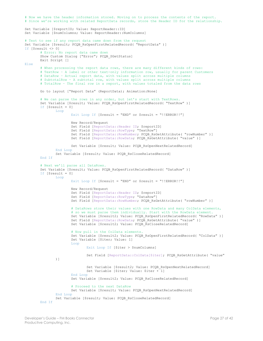```
# Now we have the header information stored. Moving on to process the contents of the report.
# Since we're working with related ReportData records, store the Header ID for the relationship.
Set Variable [$reportID; Value: ReportHeader::ID]
Set Variable [$numColumns; Value: ReportHeader::NumColumns]
# Test to see if any report data came down from the request
Set Variable [$result; PCOB RsOpenFirstRelatedRecord( "ReportData" )]
If [Sresu]t < 0]
       # Error: No report data came down
       Show Custom Dialog ["Error"; PCQB SGetStatus]
       Exit Script []
Else
       # When processing the report data rows, there are many different kinds of rows:
       # TextRow – A label or other text-only information row, usually for parent Customers
       # DataRow – Actual report data, with values split across multiple columns
       # SubtotalRow – A subtotal row, with values split across multiple columns
       # TotalRow – The final row in a report, with values totaled from the data rows
       Go to layout ["Report Data" (ReportData); Animation:None]
       # We can parse the rows in any order, but let's start with TextRows.
       Set Variable [$result; Value: PCQB RsOpenFirstRelatedRecord( "TextRow" )]
       If [$result = 0]
               Loop
                      Exit Loop If [$result = "END" or $result = "!!ERROR!!"]
                      New Record/Request
                      Set Field [ReportData::Header ID; $reportID] 
                      Set Field [ReportData::RowType; "TextRow"]
                      Set Field [ReportData::RowNumber; PCOB RsGetAttribute( "rowNumber" )]
                      Set Field [ReportData::RowData; PCOB_RsGetAttribute( "value" )]
                      Set Variable [$result; Value: PCOB RsOpenNextRelatedRecord]
               End Loop
               Set Variable [$result; Value: PCQB RsCloseRelatedRecord]
       End If
       # Next we'll parse all DataRows.
       Set Variable [$result; Value: PCQB RsOpenFirstRelatedRecord( "DataRow" )]
       If [\$result = 0]Loop
                      Exit Loop If [5result] = "END" or Sresult = "!!ERROR!!"New Record/Request
                      Set Field [ReportData::Header ID; $reportID] 
                      Set Field [ReportData::RowType; "DataRow"]
                      Set Field [ReportData::RowNumber; PCQB RsGetAttribute( "rowNumber" )]
                      # DataRows store their values with one RowData and many ColData elements,
                      # so we must parse them individually. Start with the RowData element.
                      Set Variable [$result2; Value: PCQB RsOpenFirstRelatedRecord( "RowData" )]
                      Set Field [ReportData::RowData; PCQB RsGetAttribute( "value" )]
                      Set Variable [$result2; Value: PCQB_RsCloseRelatedRecord]
                      # Now pull in the ColData elements.
                      Set Variable [$result2; Value: PCQB RsOpenFirstRelatedRecord( "ColData" )]
                      Set Variable [$iter; Value: 1]
                      Loop
                              Exit Loop If [$iter > $numColumns]
                              Set Field [ReportData::ColData[$iter]; PCQB RsGetAttribute( "value"
               )]
                              Set Variable [$result2; Value: PCQB RsOpenNextRelatedRecord]
                              Set Variable [$iter; Value: $iter +1]
                      End Loop
                      Set Variable [$result2; Value: PCOB RsCloseRelatedRecord]
                       # Proceed to the next DataRow
                      Set Variable [$result; Value: PCOB RsOpenNextRelatedRecord]
               End Loop
               Set Variable [$result; Value: PCQB RsCloseRelatedRecord]
       End If
```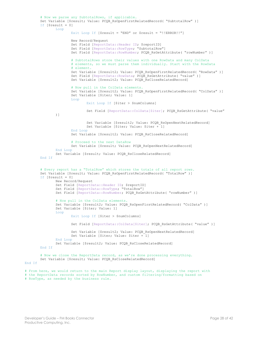```
# Now we parse any SubtotalRows, if applicable.
       Set Variable [$result; Value: PCQB_RsOpenFirstRelatedRecord( "SubtotalRow" )]
       If [\$result = 0]Loop
                      Exit Loop If [$result = "END" or $result = "!!ERROR!!"]
                      New Record/Request
                      Set Field [ReportData:: Header ID; $reportID]
                      Set Field [ReportData::RowType; "SubtotalRow"]
                      Set Field [ReportData::RowNumber; PCQB RsGetAttribute( "rowNumber" )]
                       # SubtotalRows store their values with one RowData and many ColData
                      # elements, so we must parse them individually. Start with the RowData 
                      # element.
                      Set Variable [$result2; Value: PCQB RsOpenFirstRelatedRecord( "RowData" )]
                      Set Field [ReportData::RowData; PCQB_RsGetAttribute( "value" )]
                      Set Variable [$result2; Value: PCQB_RsCloseRelatedRecord]
                      # Now pull in the ColData elements.
                       Set Variable [$result2; Value: PCQB_RsOpenFirstRelatedRecord( "ColData" )]
                       Set Variable [$iter; Value: 1]
                      Loop
                              Exit Loop If [$iter > $numColumns]
                              Set Field [ReportData::ColData[$iter]; PCQB RsGetAttribute( "value"
               )]
                              Set Variable [$result2; Value: PCQB RsOpenNextRelatedRecord]
                              Set Variable [$iter; Value: $iter +1]
                      End Loop
                      Set Variable [$result2; Value: PCOB RsCloseRelatedRecord]
                      # Proceed to the next DataRow
                      Set Variable [$result; Value: PCOB RsOpenNextRelatedRecord]
               End Loop
               Set Variable [$result; Value: PCQB RsCloseRelatedRecord]
       End If
       # Every report has a "TotalRow" which stores the totals of all report rows.
       Set Variable [$result; Value: PCQB_RsOpenFirstRelatedRecord( "TotalRow" )]
       If [$result = 0]
               New Record/Request
               Set Field [ReportData::Header ID; $reportID] 
               Set Field [ReportData::RowType; "TotalRow"]
               Set Field [ReportData::RowNumber; PCQB RsGetAttribute( "rowNumber" )]
               # Now pull in the ColData elements.
               Set Variable [$result2; Value: PCQB RsOpenFirstRelatedRecord( "ColData" )]
               Set Variable [$iter; Value: 1]
               Loop
                      Exit Loop If [$iter > $numColumns]
                      Set Field [ReportData::ColData[$iter]; PCQB RsGetAttribute( "value" )]
                      Set Variable [$result2; Value: PCQB RsOpenNextRelatedRecord]
                      Set Variable [$iter; Value: $iter + 1]
               End Loop
               Set Variable [$result2; Value: PCOB RsCloseRelatedRecord]
       End If
       # Now we close the ReportData record, as we're done processing everything.
       Set Variable [$result; Value: PCQB RsCloseRelatedRecord]
End If
# From here, we would return to the main Report display layout, displaying the report with
```

```
# the ReportData records sorted by RowNumber, and custom filtering/formatting based on
```

```
# RowType, as needed by the business rule.
```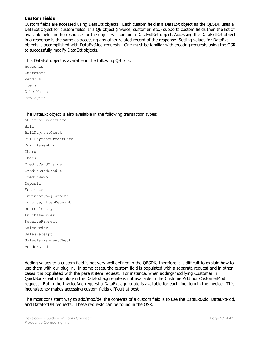#### <span id="page-28-0"></span>**Custom Fields**

Custom fields are accessed using DataExt objects. Each custom field is a DataExt object as the QBSDK uses a DataExt object for custom fields. If a QB object (invoice, customer, etc.) supports custom fields then the list of available fields in the response for the object will contain a DataExtRet object. Accessing the DataExtRet object in a response is the same as accessing any other related record of the response. Setting values for DataExt objects is accomplished with DataExtMod requests. One must be familiar with creating requests using the OSR to successfully modify DataExt objects.

#### This DataExt object is available in the following QB lists:

Accounts Customers Vendors Items OtherNames Employees

#### The DataExt object is also available in the following transaction types:

ARRefundCreditCard Bill BillPaymentCheck BillPaymentCreditCard BuildAssembly Charge Check CreditCardCharge CreditCardCredit CreditMemo Deposit Estimate InventoryAdjustment Invoice, ItemReceipt JournalEntry PurchaseOrder ReceivePayment SalesOrder SalesReceipt SalesTaxPaymentCheck VendorCredit

Adding values to a custom field is not very well defined in the QBSDK, therefore it is difficult to explain how to use them with our plug-in. In some cases, the custom field is populated with a separate request and in other cases it is populated with the parent item request. For instance, when adding/modifying Customer in QuickBooks with the plug-in the DataExt aggregate is not available in the CustomerAdd nor CustomerMod request. But in the InvoiceAdd request a DataExt aggregate is available for each line item in the invoice. This inconsistency makes accessing custom fields difficult at best.

The most consistent way to add/mod/del the contents of a custom field is to use the DataExtAdd, DataExtMod, and DataExtDel requests. These requests can be found in the OSR.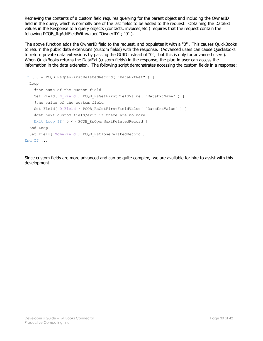Retrieving the contents of a custom field requires querying for the parent object and including the OwnerID field in the query, which is normally one of the last fields to be added to the request. Obtaining the DataExt values in the Response to a query objects (contacts, invoices,etc.) requires that the request contain the following PCQB\_RqAddFieldWithValue( "OwnerID" ; "0" ).

The above function adds the OwnerID field to the request, and populates it with a "0" . This causes QuickBooks to return the public data extensions (custom fields) with the response. (Advanced users can cause QuickBooks to return private data extensions by passing the GUID instead of "0", but this is only for advanced users). When QuickBooks returns the DataExt (custom fields) in the response, the plug-in user can access the information in the data extension. The following script demonstrates accessing the custom fields in a response:

```
If [ 0 = PCQB_RsOpenFirstRelatedRecord( "DataExtRet" ) ]
  Loop
     #the name of the custom field
   Set Field[ N Field ; PCQB RsGetFirstFieldValue( "DataExtName" ) ]
     #the value of the custom field
    Set Field[ D_Field ; PCQB_RsGetFirstFieldValue( "DataExtValue" ) ]
     #get next custom field/exit if there are no more
   Exit Loop If [ 0 <> PCQB RsOpenNextRelatedRecord ]
  End Loop
 Set Field[ SomeField ; PCQB RsCloseRelatedRecord ]
End If ...
```
Since custom fields are more advanced and can be quite complex, we are available for hire to assist with this development.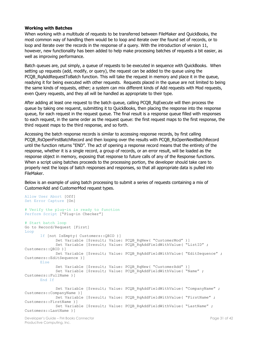#### <span id="page-30-0"></span>**Working with Batches**

When working with a multitude of requests to be transferred between FileMaker and QuickBooks, the most common way of handling them would be to loop and iterate over the found set of records, or to loop and iterate over the records in the response of a query. With the introduction of version 11, however, new functionality has been added to help make processing batches of requests a bit easier, as well as improving performance.

Batch queues are, put simply, a queue of requests to be executed in sequence with QuickBooks. When setting up requests (add, modify, or query), the request can be added to the queue using the PCQB\_RqAddRequestToBatch function. This will take the request in memory and place it in the queue, readying it for being executed with other requests. Requests placed in the queue are not limited to being the same kinds of requests, either; a system can mix different kinds of Add requests with Mod requests, even Query requests, and they all will be handled as appropriate to their type.

After adding at least one request to the batch queue, calling PCQB RqExecute will then process the queue by taking one requerst, submitting it to QuickBooks, then placing the response into the response queue, for each request in the request queue. The final result is a response queue filled with responses to each request, in the same order as the request queue: the first request maps to the first response, the third request maps to the third response, and so forth.

Accessing the batch response records is similar to accessing response records, by first calling PCQB\_RsOpenFirstBatchRecord and then looping over the results with PCQB\_RsOpenNextBatchRecord until the function returns "END". The act of opening a response record means that the entirety of the response, whether it is a single record, a group of records, or an error result, will be loaded as the response object in memory, exposing that response to future calls of any of the Response functions. When a script using batches proceeds to the processing portion, the developer should take care to properly nest the loops of batch responses and responses, so that all appropriate data is pulled into FileMaker.

Below is an example of using batch processing to submit a series of requests containing a mix of CustomerAdd and CustomerMod request types.

```
Allow User Abort [Off]
Set Error Capture [On]
# Verify the plug-in is ready to function
Perform Script ["Plug-in Checker"]
# Start batch loop
Go to Record/Request [First]
Loop
      If [not IsEmpty( Customers::QBID )] 
             Set Variable [$result; Value: PCQB RqNew( "CustomerMod" )]
             Set Variable [$result; Value: PCOB_RqAddFieldWithValue( "ListID" ;
Customers::QBID )]
             Set Variable [$result; Value: PCQB RqAddFieldWithValue( "EditSequence" ;
Customers::EditSequence )]
      Else
             Set Variable [$result; Value: PCQB RqNew( "CustomerAdd" )]
             Set Variable [$result; Value: PCQB RqAddFieldWithValue( "Name" ;
Customers::FullName )]
      End If
             Set Variable [$result; Value: PCQB RqAddFieldWithValue( "CompanyName" ;
Customers::CompanyName )]
             Set Variable [$result; Value: PCQB RqAddFieldWithValue( "FirstName" ;
Customers::FirstName )]
             Set Variable [$result; Value: PCQB RqAddFieldWithValue( "LastName" ;
Customers::LastName )]
```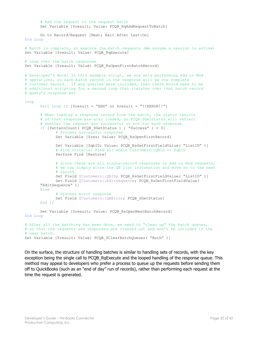```
# Add the request to the request batch
      Set Variable [$result; Value: PCQB RqAddRequestToBatch]
      Go to Record/Request [Next; Exit After Last:On]
End Loop
# Batch is complete, so execute the batch requests (We assume a session is active)
Set Variable [$result; Value: PCQB RqExecute]
# Loop over the batch responses
Set Variable [$result; Value: PCQB RsOpenFirstBatchRecord]
# Developer's Note: In this example script, we are only performing Add or Mod
# operations, so each batch record in the response will be one complete 
# Customer record. If any queries were included, then there would need to be
# additional scripting for a second loop that iterates over that batch record
# query's response set.
Loop
      Exit Loop If [$result = "END" or $result = "!!ERROR!!"]
       # When loading a response record from the batch, the status results
       # of that response are also loaded, so PCQB SGetStatus will reflect
       # whether the request was successful or not for each response.
      If [PatternCount ( PCQB SGetStatus ) ; "Success" ) > 0]
             # Process successful response
             Set Variable [$res; Value: PCQB RsOpenFirstRecord]
             Set Variable [$qbID; Value: PCQB_RsGetFirstFieldValue( "ListID" )] 
             # Find Criteria: Find all where Customers::QBID == $qbID
             Perform Find [Restore]
             # Since these are all single-record responses to Add or Mod requests,
             # we can simply store the QB list information and move on to the next
             # record.
             Set Field [Customers::OBID; PCOB RsGetFirstFieldValue( "ListID" )]
             Set Field [Customers::EditSequence; PCOB RsGetFirstFieldValue(
      "EditSequence" )]
      Else
             # Process error response
             Set Field [Customers:: QBError; PCQB SGetStatus]
      End If
      Set Variable [$result; Value: PCQB RsOpenNextBatchRecord]
End Loop
# After all the batching has been done, we need to "clean up" the batch queues, 
# so that the requests and responses are cleared out and won't be included in the 
# next batch.
```
Set Variable [\$result; Value: PCQB SClearBatchQueues( "Both" )]

On the surface, the structure of handling batches is similar to handling sets of records, with the key exception being the single call to PCOB RgExecute and the looped handling of the response queue. This method may appeal to developers who prefer a process to queue up the requests before sending them off to QuickBooks (such as an "end of day" run of records), rather than performing each request at the time the request is generated.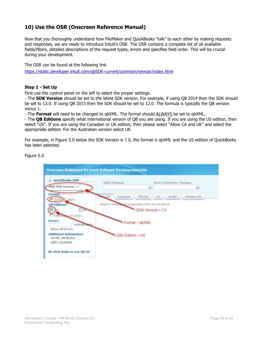## <span id="page-32-0"></span>**10) Use the OSR (Onscreen Reference Manual)**

Now that you thoroughly understand how FileMaker and QuickBooks "talk" to each other by making requests and responses, we are ready to introduce Intuit's OSR. The OSR contains a complete list of all available fields/filters, detailed descriptions of the request types, errors and specifies field order. This will be crucial during your development.

The OSR can be found at the following link: <https://static.developer.intuit.com/qbSDK-current/common/newosr/index.html>

#### <span id="page-32-1"></span>**Step 1 - Set Up**

First use the control panel on the left to select the proper settings.

- The **SDK Version** should be set to the latest SDK version. For example, if using QB 2014 then the SDK should be set to 13.0. If using QB 2013 then the SDK should be set to 12.0. The formula is typically the QB version minus 1.

- The **Format** will need to be changed to qbXML. The format should ALWAYS be set to qbXML.

- The **QB Editions** specify what international version of QB you are using. If you are using the US edition, then select "US". If you are using the Canadian or UK edition, then please select "Allow CA and UK" and select the appropriate edition. For the Australian version select UK.

For example, in Figure 5.0 below the SDK Version is 7.0, the format is qbXML and the US edition of QuickBooks has been selected.

Figure 5.0

<span id="page-32-2"></span>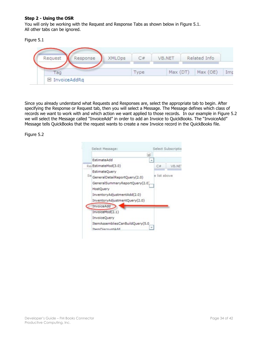#### **Step 2 - Using the OSR**

You will only be working with the Request and Response Tabs as shown below in Figure 5.1. All other tabs can be ignored.

#### Figure 5.1

| Request | Response | XMLOps |      | VB.NET |          | Related Info |     |
|---------|----------|--------|------|--------|----------|--------------|-----|
| ag      |          |        | ype. |        | Max (DT) | Max (OE)     | Imp |

Since you already understand what Requests and Responses are, select the appropriate tab to begin. After specifying the Response or Request tab, then you will select a Message. The Message defines which class of records we want to work with and which action we want applied to those records. In our example in Figure 5.2 we will select the Message called "InvoiceAdd" in order to add an Invoice to QuickBooks. The "InvoiceAdd" Message tells QuickBooks that the request wants to create a new Invoice record in the QuickBooks file.

Figure 5.2

|                                  | м |              |       |
|----------------------------------|---|--------------|-------|
| EstimateAdd                      |   |              |       |
| Rei EstimateMod(3.0)             |   | С#           | VB.NE |
| EstimateOuerv                    |   |              |       |
| Se GeneralDetailReportQuery(2.0) |   | e list above |       |
| GeneralSummaryReportQuery(2.0)   |   |              |       |
| HostQuery                        |   |              |       |
| InventoryAdjustmentAdd(2.0)      |   |              |       |
| InventoryAdjustmentQuery(2.0)    |   |              |       |
| InvoiceAdd                       |   |              |       |
| InvoiceMod(2.1)                  |   |              |       |
| InvoiceQuery                     |   |              |       |
| ItemAssembliesCanBuildQuery(5.0  |   |              |       |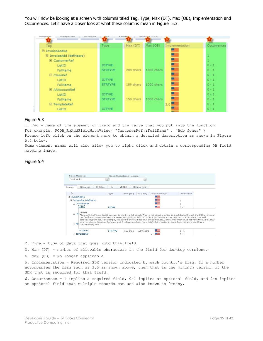You will now be looking at a screen with columns titled Tag, Type, Max (DT), Max (OE), Implementation and Occurrences. Let's have a closer look at what these columns mean in Figure 5.3.

| 15 hold of the arts<br>If he has not that had it clear has |                |           |            |                       |             |
|------------------------------------------------------------|----------------|-----------|------------|-----------------------|-------------|
| Tag                                                        | Type           | Max (DT)  | Max (OE)   | <b>Implementation</b> | Occurrences |
| □ InvoiceAddRg                                             |                |           |            |                       |             |
| El InvoiceAdd (defMacro)                                   |                |           |            |                       |             |
| E CustomerRef                                              |                |           |            |                       |             |
| ListID                                                     | <b>IDTYPE</b>  |           |            |                       | $0 - 1$     |
| FullName                                                   | <b>STRTYPE</b> | 209 chars | 1000 chars |                       | $0 - 1$     |
| E ClassRef                                                 |                |           |            |                       | $0 - 1$     |
| ListID                                                     | <b>IDTYPE</b>  |           |            |                       | $0 - 1$     |
| FullName                                                   | <b>STRTYPE</b> | 159 chars | 1000 chars |                       | $0 - 1$     |
| E ARAccountRef                                             |                |           |            |                       | $0 - 1$     |
| ListID                                                     | <b>IDTYPE</b>  |           |            |                       | $0 - 1$     |
| FullName                                                   | <b>STRTYPE</b> | 159 chars | 1000 chars |                       | $0 - 1$     |
| E TemplateRef                                              |                |           |            | 3.0 <sup>1</sup>      | $0 - 1$     |
| ListID                                                     | <b>IDTYPE</b>  |           |            |                       | $0 + 1$     |

#### Figure 5.3

1. Tag = name of the element or field and the value that you put into the function For example, PCQB RqAddFieldWithValue( "CustomerRef::FullName" ; "Bob Jones" ) Please left click on the element name to obtain a detailed description as shown in Figure

5.4 below.

Some element names will also allow you to right click and obtain a corresponding QB field mapping image.

#### Figure 5.4



2. Type = type of data that goes into this field.

3. Max (DT) = number of allowable characters in the field for desktop versions.

4. Max (OE) = No longer applicable.

5. Implementation = Required SDK version indicated by each country's flag. If a number accompanies the flag such as 3.0 as shown above, then that is the minimum version of the SDK that is required for that field.

6. Occurrences = 1 implies a required field, 0-1 implies an optional field, and 0-n implies an optional field that multiple records can use also known as 0-many.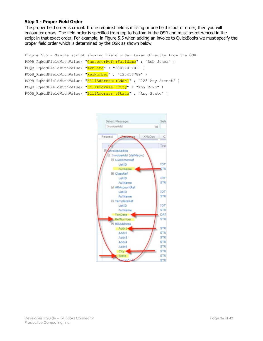#### <span id="page-35-0"></span>**Step 3 - Proper Field Order**

The proper field order is crucial. If one required field is missing or one field is out of order, then you will encounter errors. The field order is specified from top to bottom in the OSR and must be referenced in the script in that exact order. For example, in Figure 5.5 when adding an invoice to QuickBooks we must specify the proper field order which is determined by the OSR as shown below.

```
Figure 5.5 - Sample script showing field order taken directly from the OSR
PCQB_RqAddFieldWithValue( "CustomerRef::FullName" ; "Bob Jones" )
PCQB RqAddFieldWithValue( "TxnDate" ; "2006/01/01" )
PCQB RqAddFieldWithValue( "RefNumber" ; "123456789" )
PCQB RqAddFieldWithValue( "BillAddress::Addr1" ; "123 Any Street" )
PCQB RqAddFieldWithValue( "BillAddress::City" ; "Any Town" )
PCQB RqAddFieldWithValue( "BillAddress::State" ; "Any State" )
```
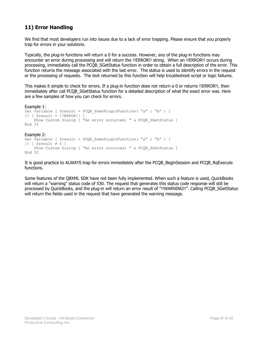## <span id="page-36-0"></span>**11) Error Handling**

We find that most developers run into issues due to a lack of error trapping. Please ensure that you properly trap for errors in your solutions.

Typically, the plug-in functions will return a 0 for a success. However, any of the plug-in functions may encounter an error during processing and will return the !!ERROR!! string. When an !!ERROR!! occurs during processing, immediately call the PCQB\_SGetStatus function in order to obtain a full description of the error. This function returns the message associated with the last error. The status is used to identify errors in the request or the processing of requests. The text returned by this function will help troubleshoot script or logic failures.

This makes it simple to check for errors. If a plug-in function does not return a 0 or returns !!ERROR!!, then immediately after call PCOB SGetStatus function for a detailed description of what the exact error was. Here are a few samples of how you can check for errors.

```
Example 1:
Set Variable [ $result = PCOB SomePluqinFunction('a'' ; "b'') ]If [ $result = !!ERROR!! ] 
    Show Custom Dialog [ "An error occurred: " & PCQB SGetStatus ]
End If
Example 2:
Set Variable [ $result = PCQB SomePluginFunction( "a" ; "b" ) ]
If [ $result \neq 0 ]
    Show Custom Dialog [ "An error occurred: " & PCQB SGetStatus ]
End If
```
It is good practice to ALWAYS trap for errors immediately after the PCQB\_BeginSession and PCQB\_RqExecute functions.

Some features of the QBXML SDK have not been fully implemented. When such a feature is used, QuickBooks will return a "warning" status code of 530. The request that generates this status code response will still be processed by QuickBooks, and the plug-in will return an error result of "!!WARNING!!". Calling PCQB\_SGetStatus will return the fields used in the request that have generated the warning message.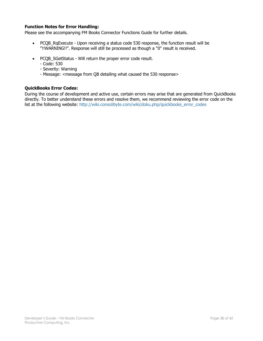#### <span id="page-37-0"></span>**Function Notes for Error Handling:**

Please see the accompanying FM Books Connector Functions Guide for further details.

- PCQB RgExecute Upon receiving a status code 530 response, the function result will be "!!WARNING!!". Response will still be processed as though a "0" result is received.
- PCQB\_SGetStatus Will return the proper error code result.
	- Code: 530
	- Severity: Warning
	- Message: <message from QB detailing what caused the 530 response>

#### <span id="page-37-1"></span>**QuickBooks Error Codes:**

During the course of development and active use, certain errors may arise that are generated from QuickBooks directly. To better understand these errors and resolve them, we recommend reviewing the error code on the list at the following website: [http://wiki.consolibyte.com/wiki/doku.php/quickbooks\\_error\\_codes](http://wiki.consolibyte.com/wiki/doku.php/quickbooks_error_codes)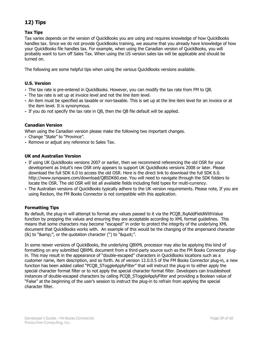## <span id="page-38-0"></span>**12) Tips**

#### <span id="page-38-1"></span>**Tax Tips**

Tax varies depends on the version of QuickBooks you are using and requires knowledge of how QuickBooks handles tax. Since we do not provide QuickBooks training, we assume that you already have knowledge of how your QuickBooks file handles tax. For example, when using the Canadian version of QuickBooks, you will probably want to turn off Sales Tax. When using the US version sales tax will be applicable and should be turned on.

The following are some helpful tips when using the various QuickBooks versions available.

#### <span id="page-38-2"></span>**U.S. Version**

- The tax rate is pre-entered in QuickBooks. However, you can modify the tax rate from FM to QB.
- The tax rate is set up at invoice level and not the line item level.
- An item must be specified as taxable or non-taxable. This is set up at the line item level for an invoice or at the item level. It is synonymous.
- If you do not specify the tax rate in QB, then the QB file default will be applied.

#### <span id="page-38-3"></span>**Canadian Version**

When using the Canadian version please make the following two important changes.

- Change "State" to "Province".
- Remove or adjust any reference to Sales Tax.

#### <span id="page-38-4"></span>**UK and Australian Version**

- If using UK QuickBooks versions 2007 or earlier, then we recommend referencing the old OSR for your development as Intuit's new OSR only appears to support UK QuickBooks versions 2008 or later. Please download the full SDK 6.0 to access the old OSR. Here is the direct link to download the full SDK 6.0. [http://www.synqware.com/download/QBSDK60.exe.](http://www.synqware.com/download/QBSDK60.exe) You will need to navigate through the SDK folders to locate the OSR. The old OSR will list all available fields including field types for multi-currency.
- The Australian versions of QuickBooks typically adhere to the UK version requirements. Please note, If you are using Reckon, the FM Books Connector is not compatible with this application.

#### <span id="page-38-5"></span>**Formatting Tips**

By default, the plug-in will attempt to format any values passed to it via the PCOB RgAddFieldWithValue function by prepping the values and ensuring they are acceptable according to XML format guidelines. This means that some characters may become "escaped" in order to protect the integrity of the underlying XML document that QuickBooks works with. An example of this would be the changing of the ampersand character  $(8)$  to "&", or the quotation character (") to """.

In some newer versions of QuickBooks, the underlying QBXML processor may also be applying this kind of formatting on any submitted QBXML document from a third-party source such as the FM Books Connector plugin. This may result in the appearance of "double-escaped" characters in QuickBooks locations such as a customer name, item description, and so forth. As of version 12.0.0.5 of the FM Books Connector plug-in, a new function has been added called "PCQB\_SToggleApplyFilter" that will instruct the plug-in to either apply the special character format filter or to not apply the special character format filter. Developers can troubleshoot instances of double-escaped characters by calling PCQB\_SToggleApplyFilter and providing a Boolean value of "False" at the beginning of the user's session to instruct the plug-in to refrain from applying the special character filter.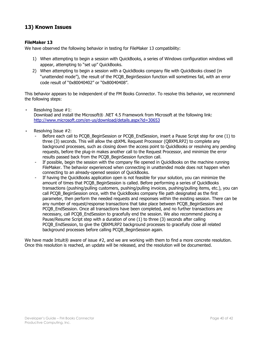## <span id="page-39-0"></span>**13) Known Issues**

#### <span id="page-39-1"></span>**FileMaker 13**

We have observed the following behavior in testing for FileMaker 13 compatibility:

- 1) When attempting to begin a session with QuickBooks, a series of Windows configuration windows will appear, attempting to "set up" QuickBooks.
- 2) When attempting to begin a session with a QuickBooks company file with QuickBooks closed (in "unattended mode"), the result of the PCQB\_BeginSession function will sometimes fail, with an error code result of "0x80040402" or "0x80040408".

This behavior appears to be independent of the FM Books Connector. To resolve this behavior, we recommend the following steps:

- Resolving Issue  $#1$ : Download and install the Microsoft® .NET 4.5 Framework from Microsoft at the following link: <http://www.microsoft.com/en-us/download/details.aspx?id=30653>
- Resolving Issue #2:
	- Before each call to PCOB BeginSession or PCOB EndSession, insert a Pause Script step for one (1) to three (3) seconds. This will allow the qbXML Request Processor (QBXMLRP2) to complete any background processes, such as closing down the access point to QuickBooks or resolving any pending requests, before the plug-in makes another call to the Request Processor, and minimize the error results passed back from the PCQB\_BeginSession function call.
	- If possible, begin the session with the company file opened in QuickBooks on the machine running FileMaker. The behavior experienced when connecting in unattended mode does not happen when connecting to an already-opened session of QuickBooks.
	- If having the QuickBooks application open is not feasible for your solution, you can minimize the amount of times that PCQB\_BeginSession is called. Before performing a series of QuickBooks transactions (pushing/pulling customers, pushing/pulling invoices, pushing/pulling items, etc.), you can call PCQB\_BeginSession once, with the QuickBooks company file path designated as the first parameter, then perform the needed requests and responses within the existing session. There can be any number of request/response transactions that take place between PCQB BeginSession and PCQB\_EndSession. Once all transactions have been completed, and no further transactions are necessary, call PCQB EndSession to gracefully end the session. We also recommend placing a Pause/Resume Script step with a duration of one (1) to three (3) seconds after calling PCQB EndSession, to give the QBXMLRP2 background processes to gracefully close all related background processes before calling PCQB\_BeginSession again.

We have made Intuit® aware of issue #2, and we are working with them to find a more concrete resolution. Once this resolution is reached, an update will be released, and the resolution will be documented.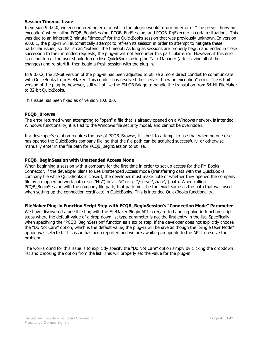#### <span id="page-40-0"></span>**Session Timeout Issue**

In version 9.0.0.0, we encountered an error in which the plug-in would return an error of "The server threw an exception" when calling PCQB\_BeginSession, PCQB\_EndSession, and PCQB\_RqExecute in certain situations. This was due to an inherent 2 minute "timeout" for the QuickBooks session that was previously unknown. In version 9.0.0.1, the plug-in will automatically attempt to refresh its session in order to attempt to mitigate these particular issues, so that it can "extend" the timeout. As long as sessions are properly begun and ended in close succession to their intended requests, the plug-in will not encounter this particular error. However, if this error is encountered, the user should force-close QuickBooks using the Task Manager (after saving all of their changes) and re-start it, then begin a fresh session with the plug-in.

In 9.0.0.2, the 32-bit version of the plug-in has been adjusted to utilize a more direct conduit to communicate with QuickBooks from FileMaker. This conduit has resolved the "server threw an exception" error. The 64-bit version of the plug-in, however, still will utilize the FM QB Bridge to handle the translation from 64-bit FileMaker to 32-bit QuickBooks.

This issue has been fixed as of version 10.0.0.0.

#### <span id="page-40-1"></span>**PCQB\_Browse**

The error returned when attempting to "open" a file that is already opened on a Windows network is intended Windows functionality; it is tied to the Windows file security model, and cannot be overridden.

If a developer's solution requires the use of PCQB\_Browse, it is best to attempt to use that when no one else has opened the QuickBooks company file, so that the file path can be acquired successfully, or otherwise manually enter in the file path for PCQB BeginSession to utilize.

#### <span id="page-40-2"></span>**PCQB\_BeginSession with Unattended Access Mode**

When beginning a session with a company for the first time in order to set up access for the FM Books Connector, if the developer plans to use Unattended Access mode (transferring data with the QuickBooks company file while QuickBooks is closed), the developer must make note of whether they opened the company file by a mapped network path (e.g. "H:\") or a UNC (e.g. "\\server\share\") path. When calling PCQB\_BeginSession with the company file path, that path must be the exact same as the path that was used when setting up the connection certificate in QuickBooks. This is intended QuickBooks functionality.

#### <span id="page-40-3"></span>**FileMaker Plug-in Function Script Step with PCQB\_BeginSession's "Connection Mode" Parameter**

We have discovered a possible bug with the FileMaker Plugin API in regard to handling plug-in function script steps where the default value of a drop-down list type parameter is not the first entry in the list. Specifically, when specifying the "PCQB" BeginSession" function as a script step, if the developer does not explicitly choose the "Do Not Care" option, which is the default value, the plug-in will behave as though the "Single User Mode" option was selected. This issue has been reported and we are awaiting an update to the API to resolve the problem.

The workaround for this issue is to explicitly specify the "Do Not Care" option simply by clicking the dropdown list and choosing the option from the list. This will properly set the value for the plug-in.